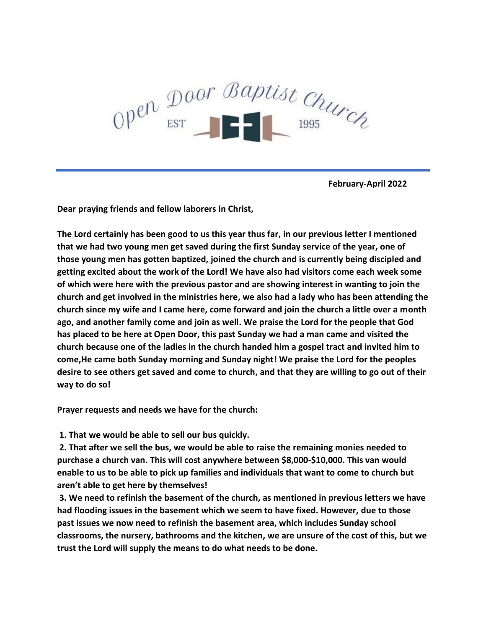

 **February-April 2022** 

**Dear praying friends and fellow laborers in Christ,** 

**The Lord certainly has been good to us this year thus far, in our previous letter I mentioned that we had two young men get saved during the first Sunday service of the year, one of those young men has gotten baptized, joined the church and is currently being discipled and getting excited about the work of the Lord! We have also had visitors come each week some of which were here with the previous pastor and are showing interest in wanting to join the church and get involved in the ministries here, we also had a lady who has been attending the church since my wife and I came here, come forward and join the church a little over a month ago, and another family come and join as well. We praise the Lord for the people that God has placed to be here at Open Door, this past Sunday we had a man came and visited the church because one of the ladies in the church handed him a gospel tract and invited him to come,He came both Sunday morning and Sunday night! We praise the Lord for the peoples desire to see others get saved and come to church, and that they are willing to go out of their way to do so!**

**Prayer requests and needs we have for the church:**

**1. That we would be able to sell our bus quickly.**

**2. That after we sell the bus, we would be able to raise the remaining monies needed to purchase a church van. This will cost anywhere between \$8,000-\$10,000. This van would enable to us to be able to pick up families and individuals that want to come to church but aren't able to get here by themselves!**

**3. We need to refinish the basement of the church, as mentioned in previous letters we have had flooding issues in the basement which we seem to have fixed. However, due to those past issues we now need to refinish the basement area, which includes Sunday school classrooms, the nursery, bathrooms and the kitchen, we are unsure of the cost of this, but we trust the Lord will supply the means to do what needs to be done.**